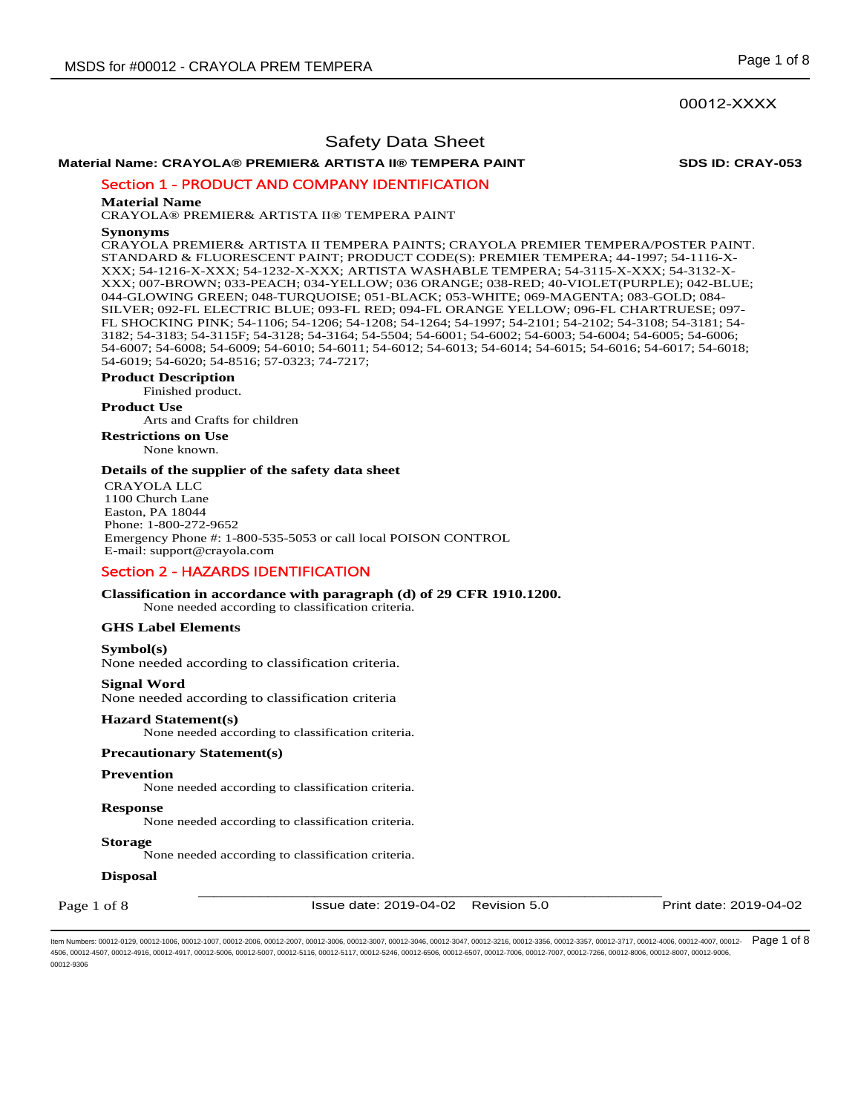**Material Name: CRAYOLA® PREMIER& ARTISTA II® TEMPERA PAINT SDS ID: CRAY-053**

Section 1 - PRODUCT AND COMPANY IDENTIFICATION

## **Material Name**

CRAYOLA® PREMIER& ARTISTA II® TEMPERA PAINT

#### **Synonyms**

CRAYOLA PREMIER& ARTISTA II TEMPERA PAINTS; CRAYOLA PREMIER TEMPERA/POSTER PAINT. STANDARD & FLUORESCENT PAINT; PRODUCT CODE(S): PREMIER TEMPERA; 44-1997; 54-1116-X-XXX; 54-1216-X-XXX; 54-1232-X-XXX; ARTISTA WASHABLE TEMPERA; 54-3115-X-XXX; 54-3132-X-XXX; 007-BROWN; 033-PEACH; 034-YELLOW; 036 ORANGE; 038-RED; 40-VIOLET(PURPLE); 042-BLUE; 044-GLOWING GREEN; 048-TURQUOISE; 051-BLACK; 053-WHITE; 069-MAGENTA; 083-GOLD; 084- SILVER; 092-FL ELECTRIC BLUE; 093-FL RED; 094-FL ORANGE YELLOW; 096-FL CHARTRUESE; 097- FL SHOCKING PINK; 54-1106; 54-1206; 54-1208; 54-1264; 54-1997; 54-2101; 54-2102; 54-3108; 54-3181; 54- 3182; 54-3183; 54-3115F; 54-3128; 54-3164; 54-5504; 54-6001; 54-6002; 54-6003; 54-6004; 54-6005; 54-6006; 54-6007; 54-6008; 54-6009; 54-6010; 54-6011; 54-6012; 54-6013; 54-6014; 54-6015; 54-6016; 54-6017; 54-6018; 54-6019; 54-6020; 54-8516; 57-0323; 74-7217;

## **Product Description**

Finished product.

**Product Use**

Arts and Crafts for children

**Restrictions on Use** None known.

## **Details of the supplier of the safety data sheet**

CRAYOLA LLC 1100 Church Lane Easton, PA 18044 Phone: 1-800-272-9652 Emergency Phone #: 1-800-535-5053 or call local POISON CONTROL E-mail: support@crayola.com

## Section 2 - HAZARDS IDENTIFICATION

**Classification in accordance with paragraph (d) of 29 CFR 1910.1200.** 

None needed according to classification criteria.

## **GHS Label Elements**

## **Symbol(s)**

None needed according to classification criteria.

## **Signal Word**

None needed according to classification criteria

#### **Hazard Statement(s)**

None needed according to classification criteria.

## **Precautionary Statement(s)**

#### **Prevention**

None needed according to classification criteria.

#### **Response**

None needed according to classification criteria.

## **Storage**

None needed according to classification criteria.

#### **Disposal**

Page 1 of 8

\_\_\_\_\_\_\_\_\_\_\_\_\_\_\_\_\_\_\_\_\_\_\_\_\_\_\_\_\_\_\_\_\_\_\_\_\_\_\_\_\_\_\_\_\_\_\_\_\_\_\_\_\_\_\_\_\_\_\_\_ Issue date: 2019-04-02 Revision 5.0 Print date: 2019-04-02

ltem Numbers: 00012-0129, 00012-1006, 00012-1007, 00012-2006, 00012-2007, 00012-3006, 00012-3007, 00012-3046, 00012-3047, 00012-3216, 00012-3356, 00012-3357, 00012-3717, 00012-4006, 00012-4007, 00012- Page 1 of 8 4506, 00012-4507, 00012-4916, 00012-4917, 00012-5006, 00012-5007, 00012-5116, 00012-5117, 00012-5246, 00012-6506, 00012-6507, 00012-7006, 00012-7007, 00012-7266, 00012-8006, 00012-8007, 00012-9006, 00012-9306

## 00012-XXXX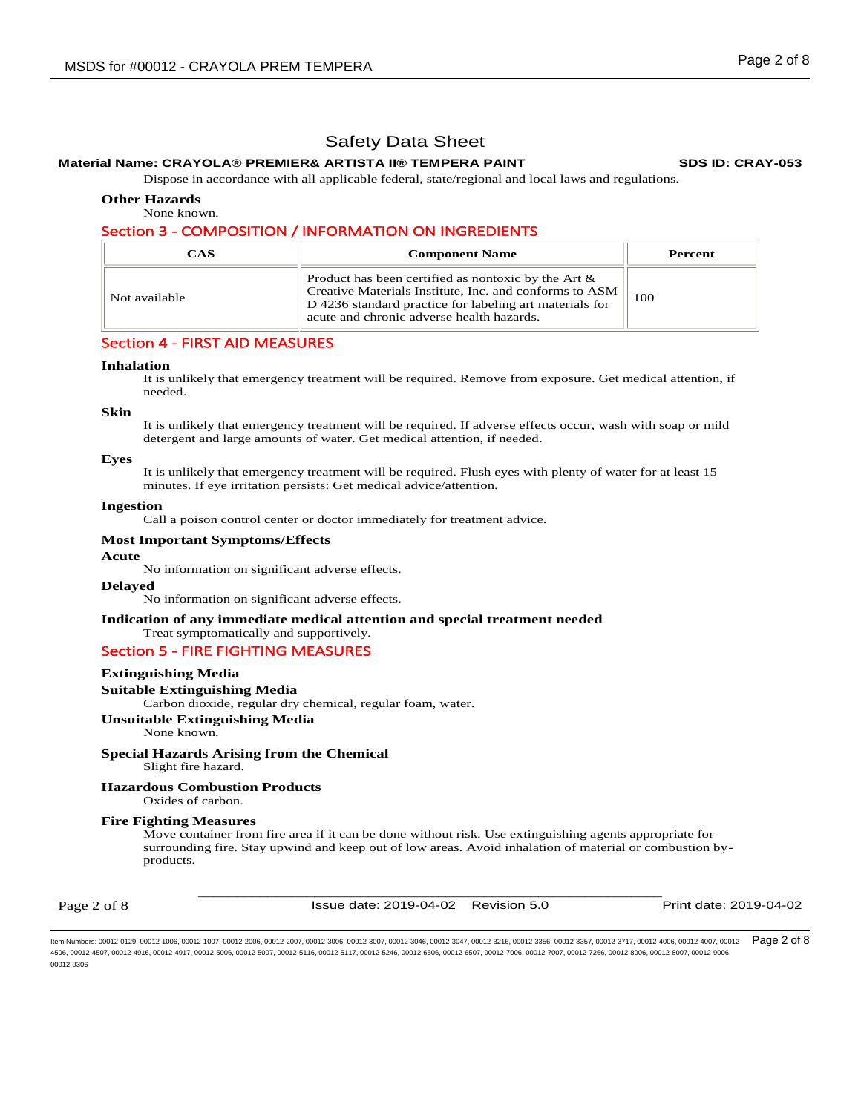## **Material Name: CRAYOLA® PREMIER& ARTISTA II® TEMPERA PAINT SDS ID: CRAY-053**

Dispose in accordance with all applicable federal, state/regional and local laws and regulations.

**Other Hazards** 

None known.

## Section 3 - COMPOSITION / INFORMATION ON INGREDIENTS

| CAS           | <b>Component Name</b>                                                                                                                                                                                                    | Percent |
|---------------|--------------------------------------------------------------------------------------------------------------------------------------------------------------------------------------------------------------------------|---------|
| Not available | Product has been certified as nontoxic by the Art $\&$<br>Creative Materials Institute, Inc. and conforms to ASM<br>D 4236 standard practice for labeling art materials for<br>acute and chronic adverse health hazards. | 100     |

## Section 4 - FIRST AID MEASURES

## **Inhalation**

It is unlikely that emergency treatment will be required. Remove from exposure. Get medical attention, if needed.

## **Skin**

It is unlikely that emergency treatment will be required. If adverse effects occur, wash with soap or mild detergent and large amounts of water. Get medical attention, if needed.

## **Eyes**

It is unlikely that emergency treatment will be required. Flush eyes with plenty of water for at least 15 minutes. If eye irritation persists: Get medical advice/attention.

## **Ingestion**

Call a poison control center or doctor immediately for treatment advice.

## **Most Important Symptoms/Effects**

## **Acute**

No information on significant adverse effects.

# **Delayed**

No information on significant adverse effects.

## **Indication of any immediate medical attention and special treatment needed**

Treat symptomatically and supportively.

## Section 5 - FIRE FIGHTING MEASURES

## **Extinguishing Media**

**Suitable Extinguishing Media** 

Carbon dioxide, regular dry chemical, regular foam, water.

## **Unsuitable Extinguishing Media**

None known.

## **Special Hazards Arising from the Chemical**

Slight fire hazard.

## **Hazardous Combustion Products**

Oxides of carbon.

## **Fire Fighting Measures**

Move container from fire area if it can be done without risk. Use extinguishing agents appropriate for surrounding fire. Stay upwind and keep out of low areas. Avoid inhalation of material or combustion byproducts.

Page 2 of 8

\_\_\_\_\_\_\_\_\_\_\_\_\_\_\_\_\_\_\_\_\_\_\_\_\_\_\_\_\_\_\_\_\_\_\_\_\_\_\_\_\_\_\_\_\_\_\_\_\_\_\_\_\_\_\_\_\_\_\_\_ Issue date: 2019-04-02 Revision 5.0 Print date: 2019-04-02

ltem Numbers: 00012-0129, 00012-1006, 00012-1007, 00012-2006, 00012-2007, 00012-3006, 00012-3007, 00012-3046, 00012-3047, 00012-3216, 00012-3356, 00012-3357, 00012-3717, 00012-4006, 00012-4007, 00012-  $\mathsf{Page\ 2\ of\ 8}$ 4506, 00012-4507, 00012-4916, 00012-4917, 00012-5006, 00012-5007, 00012-5116, 00012-5117, 00012-5246, 00012-6506, 00012-6507, 00012-7006, 00012-7007, 00012-7266, 00012-8006, 00012-8007, 00012-9006, 00012-9306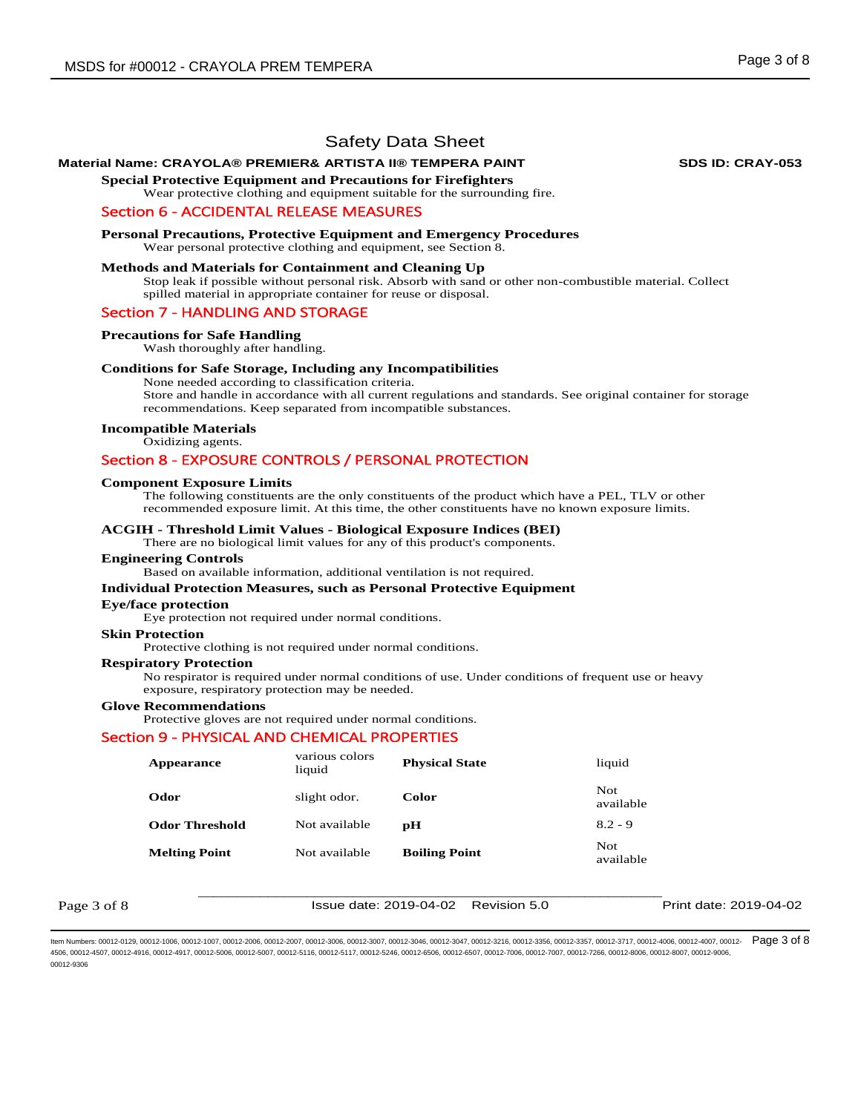## **Material Name: CRAYOLA® PREMIER& ARTISTA II® TEMPERA PAINT SDS ID: CRAY-053**

**Special Protective Equipment and Precautions for Firefighters** 

Wear protective clothing and equipment suitable for the surrounding fire.

## Section 6 - ACCIDENTAL RELEASE MEASURES

**Personal Precautions, Protective Equipment and Emergency Procedures**  Wear personal protective clothing and equipment, see Section 8.

## **Methods and Materials for Containment and Cleaning Up**

Stop leak if possible without personal risk. Absorb with sand or other non-combustible material. Collect spilled material in appropriate container for reuse or disposal.

## Section 7 - HANDLING AND STORAGE

#### **Precautions for Safe Handling**

Wash thoroughly after handling.

## **Conditions for Safe Storage, Including any Incompatibilities**

None needed according to classification criteria.

Store and handle in accordance with all current regulations and standards. See original container for storage recommendations. Keep separated from incompatible substances.

## **Incompatible Materials**

Oxidizing agents.

## Section 8 - EXPOSURE CONTROLS / PERSONAL PROTECTION

#### **Component Exposure Limits**

The following constituents are the only constituents of the product which have a PEL, TLV or other recommended exposure limit. At this time, the other constituents have no known exposure limits.

#### **ACGIH - Threshold Limit Values - Biological Exposure Indices (BEI)**

There are no biological limit values for any of this product's components.

#### **Engineering Controls**

Based on available information, additional ventilation is not required.

#### **Individual Protection Measures, such as Personal Protective Equipment**

#### **Eye/face protection**

Eye protection not required under normal conditions.

## **Skin Protection**

Protective clothing is not required under normal conditions.

## **Respiratory Protection**

No respirator is required under normal conditions of use. Under conditions of frequent use or heavy exposure, respiratory protection may be needed.

#### **Glove Recommendations**

Protective gloves are not required under normal conditions.

#### Section 9 - PHYSICAL AND CHEMICAL PROPERTIES

| <b>Appearance</b>     | various colors<br>liquid | <b>Physical State</b> | liquid            |
|-----------------------|--------------------------|-----------------------|-------------------|
| Odor                  | slight odor.             | Color                 | Not.<br>available |
| <b>Odor Threshold</b> | Not available            | рH                    | $8.2 - 9$         |
| <b>Melting Point</b>  | Not available            | <b>Boiling Point</b>  | Not.<br>available |

Page 3 of 8

\_\_\_\_\_\_\_\_\_\_\_\_\_\_\_\_\_\_\_\_\_\_\_\_\_\_\_\_\_\_\_\_\_\_\_\_\_\_\_\_\_\_\_\_\_\_\_\_\_\_\_\_\_\_\_\_\_\_\_\_ Issue date: 2019-04-02 Revision 5.0 Print date: 2019-04-02

ltem Numbers: 00012-0129, 00012-1006, 00012-1007, 00012-2006, 00012-2007, 00012-3006, 00012-3007, 00012-3046, 00012-3047, 00012-3216, 00012-3356, 00012-3357, 00012-3717, 00012-4006, 00012-4007, 00012- Page 3 of 8 4506, 00012-4507, 00012-4916, 00012-4917, 00012-5006, 00012-5007, 00012-5116, 00012-5117, 00012-5246, 00012-6506, 00012-6507, 00012-7006, 00012-7007, 00012-7266, 00012-8006, 00012-8007, 00012-9006, 00012-9306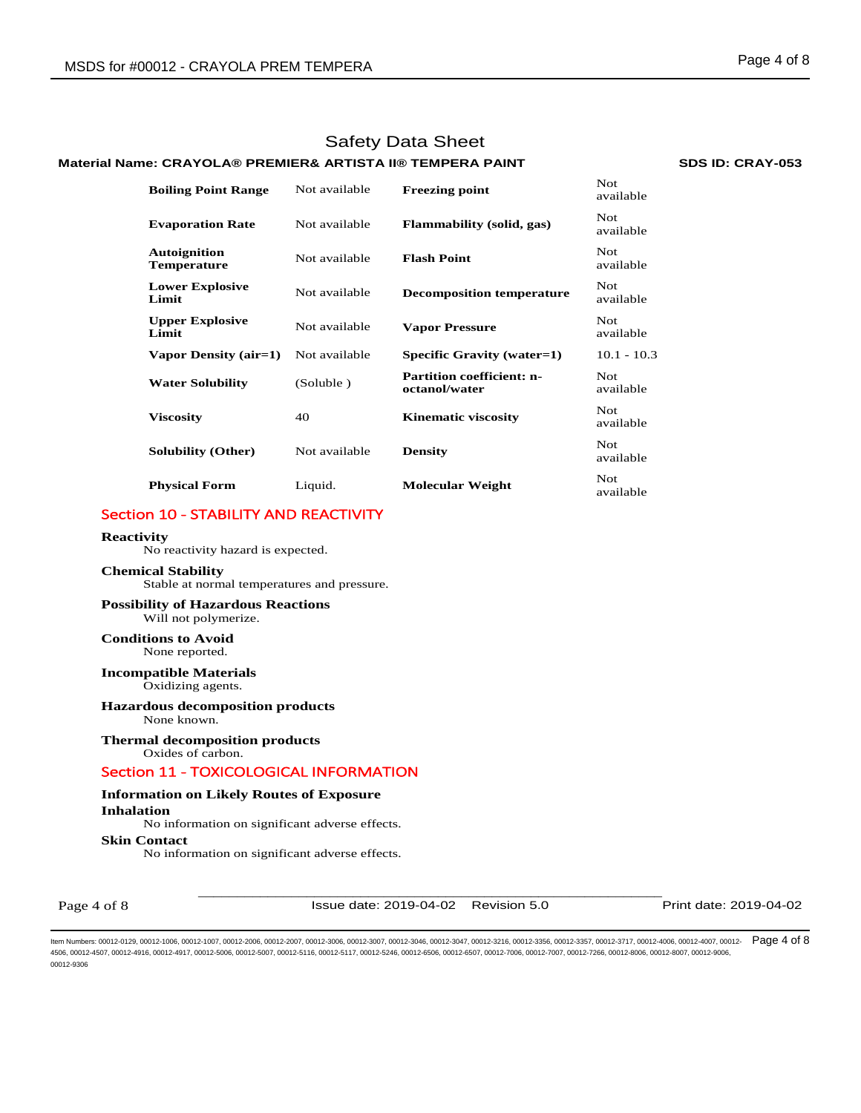## **Material Name: CRAYOLA® PREMIER& ARTISTA II® TEMPERA PAINT SDS ID: CRAY-053**

| <b>Boiling Point Range</b>                | Not available | <b>Freezing point</b>                             | Not.<br>available |
|-------------------------------------------|---------------|---------------------------------------------------|-------------------|
| <b>Evaporation Rate</b>                   | Not available | <b>Flammability (solid, gas)</b>                  | Not.<br>available |
| <b>Autoignition</b><br><b>Temperature</b> | Not available | <b>Flash Point</b>                                | Not.<br>available |
| <b>Lower Explosive</b><br>Limit           | Not available | <b>Decomposition temperature</b>                  | Not.<br>available |
| <b>Upper Explosive</b><br>Limit           | Not available | <b>Vapor Pressure</b>                             | Not.<br>available |
| Vapor Density (air=1)                     | Not available | Specific Gravity (water=1)                        | $10.1 - 10.3$     |
| <b>Water Solubility</b>                   | (Soluble)     | <b>Partition coefficient: n-</b><br>octanol/water | Not.<br>available |
| <b>Viscosity</b>                          | 40            | <b>Kinematic viscosity</b>                        | Not.<br>available |
| <b>Solubility (Other)</b>                 | Not available | <b>Density</b>                                    | Not.<br>available |
| <b>Physical Form</b>                      | Liquid.       | <b>Molecular Weight</b>                           | Not.<br>available |

# Section 10 - STABILITY AND REACTIVITY

#### **Reactivity**

No reactivity hazard is expected.

## **Chemical Stability**

Stable at normal temperatures and pressure.

## **Possibility of Hazardous Reactions** Will not polymerize.

**Conditions to Avoid** None reported.

## **Incompatible Materials**

Oxidizing agents.

# **Hazardous decomposition products**

None known.

## **Thermal decomposition products**

Oxides of carbon.

## Section 11 - TOXICOLOGICAL INFORMATION

## **Information on Likely Routes of Exposure**

**Inhalation** 

No information on significant adverse effects.

## **Skin Contact**

No information on significant adverse effects.

Page 4 of 8

\_\_\_\_\_\_\_\_\_\_\_\_\_\_\_\_\_\_\_\_\_\_\_\_\_\_\_\_\_\_\_\_\_\_\_\_\_\_\_\_\_\_\_\_\_\_\_\_\_\_\_\_\_\_\_\_\_\_\_\_ Issue date: 2019-04-02 Revision 5.0 Print date: 2019-04-02

ltem Numbers: 00012-0129, 00012-1006, 00012-1007, 00012-2006, 00012-2007, 00012-3006, 00012-3007, 00012-3046, 00012-3047, 00012-3216, 00012-3356, 00012-3357, 00012-3717, 00012-4006, 00012-4007, 00012- Page 4 of 8 4506, 00012-4507, 00012-4916, 00012-4917, 00012-5006, 00012-5007, 00012-5116, 00012-5117, 00012-5246, 00012-6506, 00012-6507, 00012-7006, 00012-7007, 00012-7266, 00012-8006, 00012-8007, 00012-9006, 00012-9306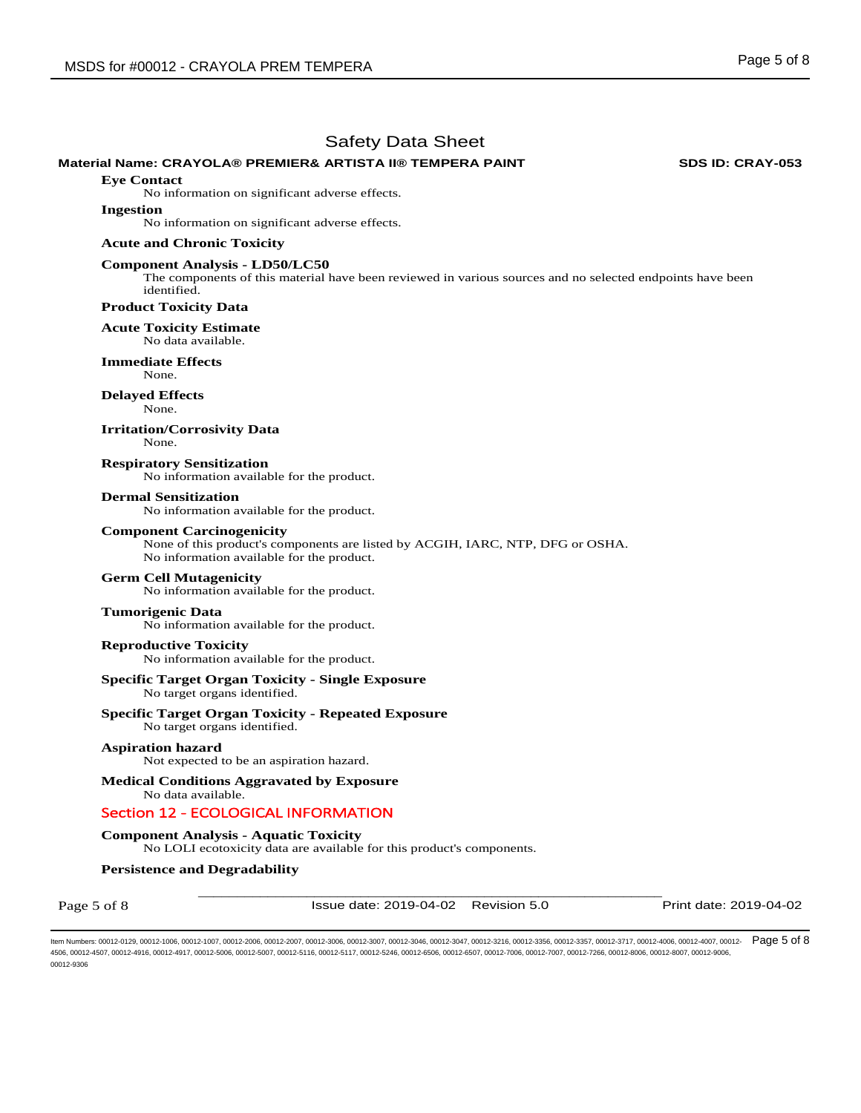## **Material Name: CRAYOLA® PREMIER& ARTISTA II® TEMPERA PAINT SDS ID: CRAY-053**

**Eye Contact** 

No information on significant adverse effects.

#### **Ingestion**

No information on significant adverse effects.

#### **Acute and Chronic Toxicity**

## **Component Analysis - LD50/LC50**

The components of this material have been reviewed in various sources and no selected endpoints have been identified.

## **Product Toxicity Data**

**Acute Toxicity Estimate** 

No data available.

**Immediate Effects**  None.

#### **Delayed Effects**

None.

#### **Irritation/Corrosivity Data**

None.

**Respiratory Sensitization**  No information available for the product.

#### **Dermal Sensitization**

No information available for the product.

#### **Component Carcinogenicity**

None of this product's components are listed by ACGIH, IARC, NTP, DFG or OSHA. No information available for the product.

### **Germ Cell Mutagenicity**

No information available for the product.

## **Tumorigenic Data**

No information available for the product.

## **Reproductive Toxicity**

No information available for the product.

## **Specific Target Organ Toxicity - Single Exposure**

No target organs identified.

## **Specific Target Organ Toxicity - Repeated Exposure**

No target organs identified.

## **Aspiration hazard**

Not expected to be an aspiration hazard.

## **Medical Conditions Aggravated by Exposure**

No data available.

# Section 12 - ECOLOGICAL INFORMATION

# **Component Analysis - Aquatic Toxicity**

No LOLI ecotoxicity data are available for this product's components.

## **Persistence and Degradability**

Page 5 of 8

\_\_\_\_\_\_\_\_\_\_\_\_\_\_\_\_\_\_\_\_\_\_\_\_\_\_\_\_\_\_\_\_\_\_\_\_\_\_\_\_\_\_\_\_\_\_\_\_\_\_\_\_\_\_\_\_\_\_\_\_ Issue date: 2019-04-02 Revision 5.0 Print date: 2019-04-02

ltem Numbers: 00012-0129, 00012-1006, 00012-1007, 00012-2006, 00012-2007, 00012-3006, 00012-3007, 00012-3046, 00012-3047, 00012-3216, 00012-3356, 00012-3357, 00012-3717, 00012-4006, 00012-4007, 00012- Page 5 of 8 4506, 00012-4507, 00012-4916, 00012-4917, 00012-5006, 00012-5007, 00012-5116, 00012-5117, 00012-5246, 00012-6506, 00012-6507, 00012-7006, 00012-7007, 00012-7266, 00012-8006, 00012-8007, 00012-7007, 00012-8006, 00012-8007, 0 00012-9306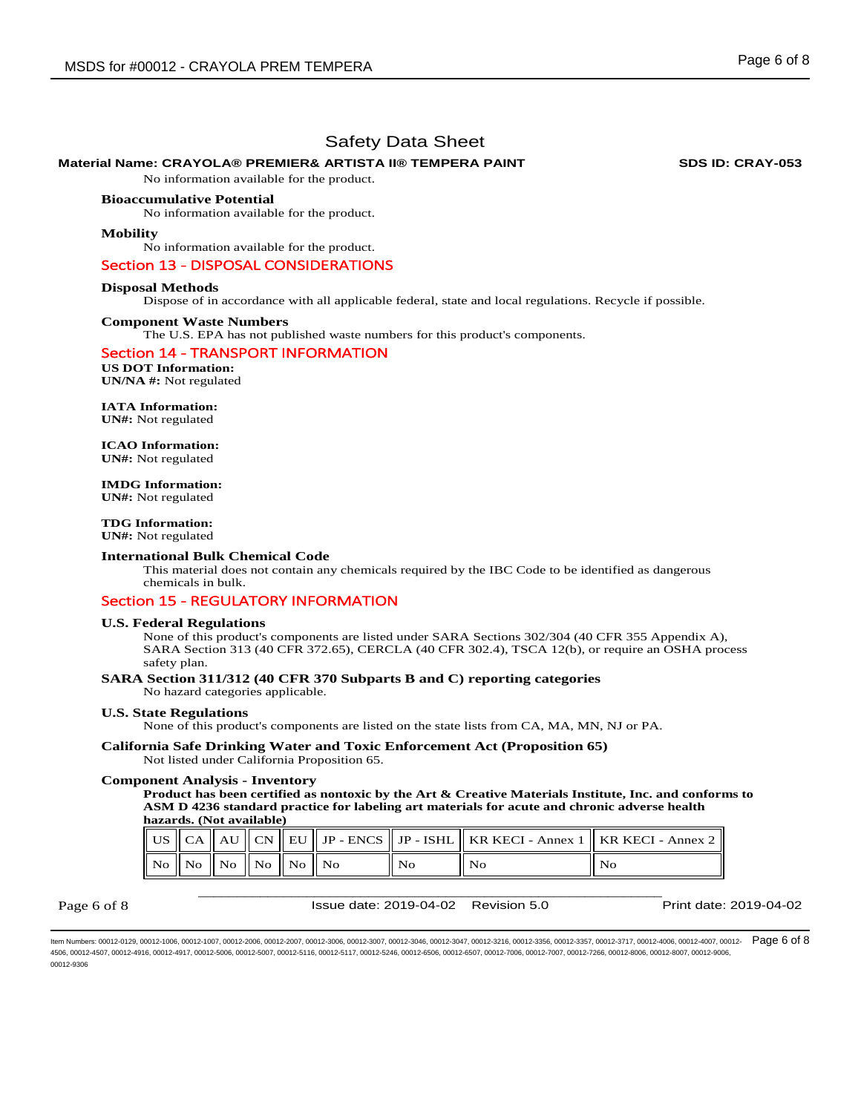## **Material Name: CRAYOLA® PREMIER& ARTISTA II® TEMPERA PAINT SDS ID: CRAY-053**

No information available for the product.

## **Bioaccumulative Potential**

No information available for the product.

#### **Mobility**

No information available for the product.

## Section 13 - DISPOSAL CONSIDERATIONS

#### **Disposal Methods**

Dispose of in accordance with all applicable federal, state and local regulations. Recycle if possible.

#### **Component Waste Numbers**

The U.S. EPA has not published waste numbers for this product's components.

#### Section 14 - TRANSPORT INFORMATION

**US DOT Information: UN/NA #:** Not regulated

## **IATA Information:**

**UN#:** Not regulated

**ICAO Information: UN#:** Not regulated

**IMDG Information: UN#:** Not regulated

**TDG Information: UN#:** Not regulated

## **International Bulk Chemical Code**

This material does not contain any chemicals required by the IBC Code to be identified as dangerous chemicals in bulk.

## Section 15 - REGULATORY INFORMATION

## **U.S. Federal Regulations**

None of this product's components are listed under SARA Sections 302/304 (40 CFR 355 Appendix A), SARA Section 313 (40 CFR 372.65), CERCLA (40 CFR 302.4), TSCA 12(b), or require an OSHA process safety plan.

## **SARA Section 311/312 (40 CFR 370 Subparts B and C) reporting categories**  No hazard categories applicable.

## **U.S. State Regulations**

None of this product's components are listed on the state lists from CA, MA, MN, NJ or PA.

# **California Safe Drinking Water and Toxic Enforcement Act (Proposition 65)**

Not listed under California Proposition 65.

## **Component Analysis - Inventory**

**Product has been certified as nontoxic by the Art & Creative Materials Institute, Inc. and conforms to ASM D 4236 standard practice for labeling art materials for acute and chronic adverse health hazards. (Not available)**

|  |                                                      |  |  |     | US    CA    AU    CN    EU    JP - ENCS    JP - ISHL    KR KECI - Annex 1    KR KECI - Annex 2 |
|--|------------------------------------------------------|--|--|-----|------------------------------------------------------------------------------------------------|
|  | $\ $ No $\ $ No $\ $ No $\ $ No $\ $ No $\ $ No $\ $ |  |  | No. | No                                                                                             |

Page 6 of 8

\_\_\_\_\_\_\_\_\_\_\_\_\_\_\_\_\_\_\_\_\_\_\_\_\_\_\_\_\_\_\_\_\_\_\_\_\_\_\_\_\_\_\_\_\_\_\_\_\_\_\_\_\_\_\_\_\_\_\_\_ Issue date: 2019-04-02 Revision 5.0 Print date: 2019-04-02

ltem Numbers: 00012-0129, 00012-1006, 00012-1007, 00012-2006, 00012-2007, 00012-3006, 00012-3007, 00012-3046, 00012-3047, 00012-3216, 00012-3356, 00012-3357, 00012-3717, 00012-4006, 00012-4007, 00012- Page 6 of 8 4506, 00012-4507, 00012-4916, 00012-4917, 00012-5006, 00012-5007, 00012-5116, 00012-5117, 00012-5246, 00012-6506, 00012-6507, 00012-7006, 00012-7007, 00012-7266, 00012-8006, 00012-8007, 00012-9006, 00012-9306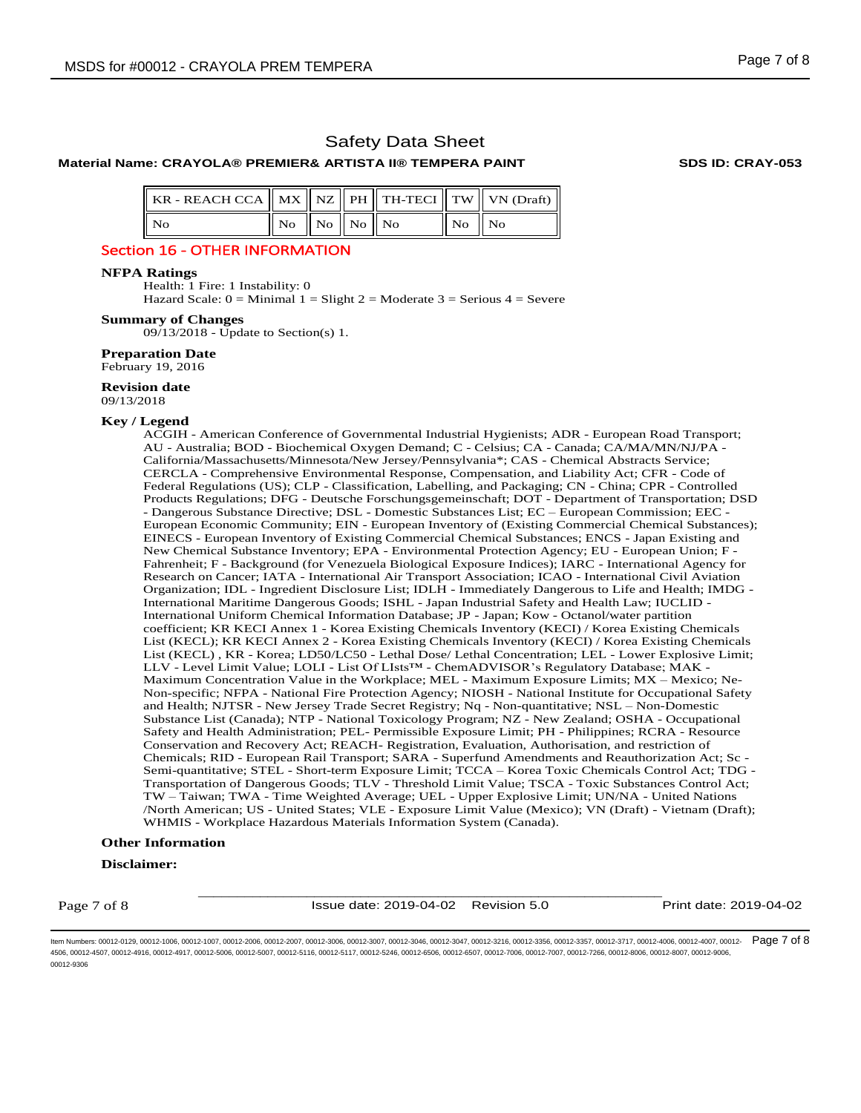## **Material Name: CRAYOLA® PREMIER& ARTISTA II® TEMPERA PAINT SDS ID: CRAY-053**

| KR - REACH CCA    MX    NZ    PH    TH-TECI    TW    VN (Draft) |                                             |  |                               |  |
|-----------------------------------------------------------------|---------------------------------------------|--|-------------------------------|--|
| ll No                                                           | $\vert$ No $\vert$ No $\vert$ No $\vert$ No |  | $\parallel$ No $\parallel$ No |  |

## Section 16 - OTHER INFORMATION

#### **NFPA Ratings**

Health: 1 Fire: 1 Instability: 0

Hazard Scale:  $0 =$  Minimal  $1 =$  Slight  $2 =$  Moderate  $3 =$  Serious  $4 =$  Severe

## **Summary of Changes**

09/13/2018 - Update to Section(s) 1.

**Preparation Date** 

February 19, 2016

## **Revision date**

09/13/2018

## **Key / Legend**

ACGIH - American Conference of Governmental Industrial Hygienists; ADR - European Road Transport; AU - Australia; BOD - Biochemical Oxygen Demand; C - Celsius; CA - Canada; CA/MA/MN/NJ/PA - California/Massachusetts/Minnesota/New Jersey/Pennsylvania\*; CAS - Chemical Abstracts Service; CERCLA - Comprehensive Environmental Response, Compensation, and Liability Act; CFR - Code of Federal Regulations (US); CLP - Classification, Labelling, and Packaging; CN - China; CPR - Controlled Products Regulations; DFG - Deutsche Forschungsgemeinschaft; DOT - Department of Transportation; DSD - Dangerous Substance Directive; DSL - Domestic Substances List; EC – European Commission; EEC - European Economic Community; EIN - European Inventory of (Existing Commercial Chemical Substances); EINECS - European Inventory of Existing Commercial Chemical Substances; ENCS - Japan Existing and New Chemical Substance Inventory; EPA - Environmental Protection Agency; EU - European Union; F - Fahrenheit; F - Background (for Venezuela Biological Exposure Indices); IARC - International Agency for Research on Cancer; IATA - International Air Transport Association; ICAO - International Civil Aviation Organization; IDL - Ingredient Disclosure List; IDLH - Immediately Dangerous to Life and Health; IMDG - International Maritime Dangerous Goods; ISHL - Japan Industrial Safety and Health Law; IUCLID - International Uniform Chemical Information Database; JP - Japan; Kow - Octanol/water partition coefficient; KR KECI Annex 1 - Korea Existing Chemicals Inventory (KECI) / Korea Existing Chemicals List (KECL); KR KECI Annex 2 - Korea Existing Chemicals Inventory (KECI) / Korea Existing Chemicals List (KECL) , KR - Korea; LD50/LC50 - Lethal Dose/ Lethal Concentration; LEL - Lower Explosive Limit; LLV - Level Limit Value; LOLI - List Of LIsts™ - ChemADVISOR's Regulatory Database; MAK - Maximum Concentration Value in the Workplace; MEL - Maximum Exposure Limits; MX – Mexico; Ne-Non-specific; NFPA - National Fire Protection Agency; NIOSH - National Institute for Occupational Safety and Health; NJTSR - New Jersey Trade Secret Registry; Nq - Non-quantitative; NSL – Non-Domestic Substance List (Canada); NTP - National Toxicology Program; NZ - New Zealand; OSHA - Occupational Safety and Health Administration; PEL- Permissible Exposure Limit; PH - Philippines; RCRA - Resource Conservation and Recovery Act; REACH- Registration, Evaluation, Authorisation, and restriction of Chemicals; RID - European Rail Transport; SARA - Superfund Amendments and Reauthorization Act; Sc - Semi-quantitative; STEL - Short-term Exposure Limit; TCCA – Korea Toxic Chemicals Control Act; TDG - Transportation of Dangerous Goods; TLV - Threshold Limit Value; TSCA - Toxic Substances Control Act; TW – Taiwan; TWA - Time Weighted Average; UEL - Upper Explosive Limit; UN/NA - United Nations /North American; US - United States; VLE - Exposure Limit Value (Mexico); VN (Draft) - Vietnam (Draft); WHMIS - Workplace Hazardous Materials Information System (Canada).

## **Other Information**

## **Disclaimer:**

Page 7 of 8

\_\_\_\_\_\_\_\_\_\_\_\_\_\_\_\_\_\_\_\_\_\_\_\_\_\_\_\_\_\_\_\_\_\_\_\_\_\_\_\_\_\_\_\_\_\_\_\_\_\_\_\_\_\_\_\_\_\_\_\_ Issue date: 2019-04-02 Revision 5.0 Print date: 2019-04-02

ltem Numbers: 00012-0129, 00012-1006, 00012-1007, 00012-2006, 00012-2007, 00012-3006, 00012-3007, 00012-3046, 00012-3047, 00012-3216, 00012-3356, 00012-3357, 00012-3717, 00012-4006, 00012-4007, 00012-  $\mathsf{Page\,7\,06}$ 4506, 00012-4507, 00012-4916, 00012-4917, 00012-5006, 00012-5007, 00012-5116, 00012-5117, 00012-5246, 00012-6506, 00012-6507, 00012-7006, 00012-7007, 00012-7266, 00012-8006, 00012-8007, 00012-9006, 00012-9306